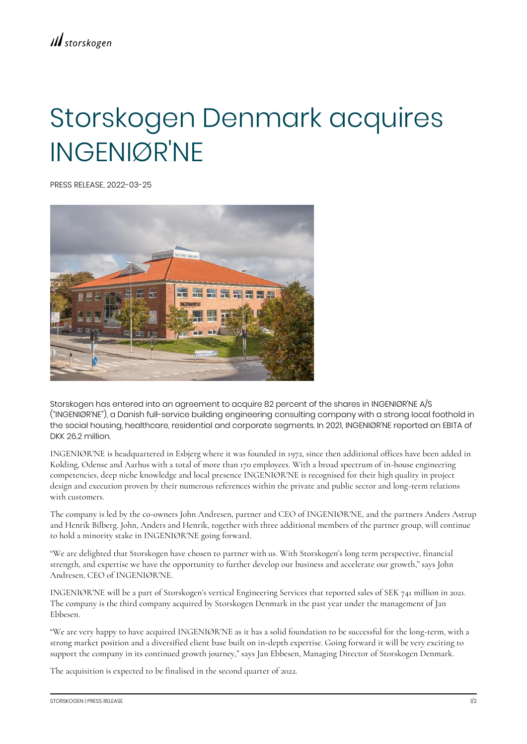## Storskogen Denmark acquires INGENIØR'NE

PRESS RELEASE, 2022-03-25



Storskogen has entered into an agreement to acquire 82 percent of the shares in INGENIØR'NE A/S ("INGENIØR'NE"), a Danish full-service building engineering consulting company with a strong local foothold in the social housing, healthcare, residential and corporate segments. In 2021, INGENIØR'NE reported an EBITA of DKK 26.2 million.

INGENIØR'NE is headquartered in Esbjerg where it was founded in 1972, since then additional offices have been added in Kolding, Odense and Aarhus with a total of more than 170 employees. With a broad spectrum of in-house engineering competencies, deep niche knowledge and local presence INGENIØR'NE is recognised for their high quality in project design and execution proven by their numerous references within the private and public sector and long-term relations with customers.

The company is led by the co-owners John Andresen, partner and CEO of INGENIØR'NE, and the partners Anders Astrup and Henrik Bilberg. John, Anders and Henrik, together with three additional members of the partner group, will continue to hold a minority stake in INGENIØR'NE going forward.

"We are delighted that Storskogen have chosen to partner with us. With Storskogen's long term perspective, financial strength, and expertise we have the opportunity to further develop our business and accelerate our growth," says John Andresen, CEO of INGENIØR'NE.

INGENIØR'NE will be a part of Storskogen's vertical Engineering Services that reported sales of SEK 741 million in 2021. The company is the third company acquired by Storskogen Denmark in the past year under the management of Jan Ebbesen.

"We are very happy to have acquired INGENIØR'NE as it has a solid foundation to be successful for the long-term, with a strong market position and a diversified client base built on in-depth expertise. Going forward it will be very exciting to support the company in its continued growth journey," says Jan Ebbesen, Managing Director of Storskogen Denmark.

The acquisition is expected to be finalised in the second quarter of 2022.